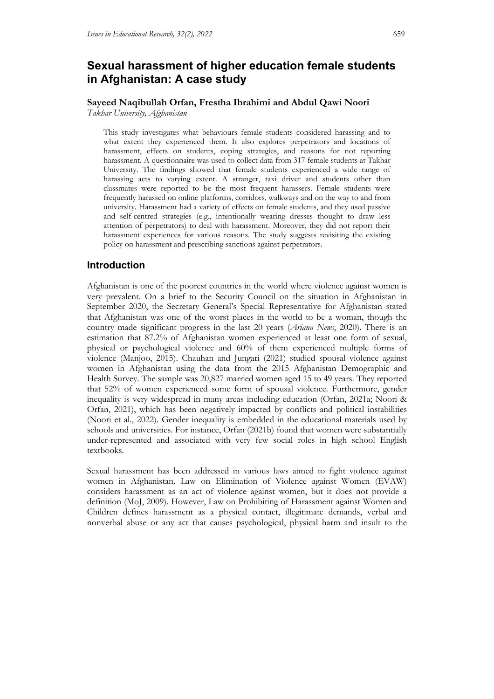# **Sexual harassment of higher education female students in Afghanistan: A case study**

# **Sayeed Naqibullah Orfan, Frestha Ibrahimi and Abdul Qawi Noori**

*Takhar University, Afghanistan* 

This study investigates what behaviours female students considered harassing and to what extent they experienced them. It also explores perpetrators and locations of harassment, effects on students, coping strategies, and reasons for not reporting harassment. A questionnaire was used to collect data from 317 female students at Takhar University. The findings showed that female students experienced a wide range of harassing acts to varying extent. A stranger, taxi driver and students other than classmates were reported to be the most frequent harassers. Female students were frequently harassed on online platforms, corridors, walkways and on the way to and from university. Harassment had a variety of effects on female students, and they used passive and self-centred strategies (e.g., intentionally wearing dresses thought to draw less attention of perpetrators) to deal with harassment. Moreover, they did not report their harassment experiences for various reasons. The study suggests revisiting the existing policy on harassment and prescribing sanctions against perpetrators.

# **Introduction**

Afghanistan is one of the poorest countries in the world where violence against women is very prevalent. On a brief to the Security Council on the situation in Afghanistan in September 2020, the Secretary General's Special Representative for Afghanistan stated that Afghanistan was one of the worst places in the world to be a woman, though the country made significant progress in the last 20 years (*Ariana News*, 2020). There is an estimation that 87.2% of Afghanistan women experienced at least one form of sexual, physical or psychological violence and 60% of them experienced multiple forms of violence (Manjoo, 2015). Chauhan and Jungari (2021) studied spousal violence against women in Afghanistan using the data from the 2015 Afghanistan Demographic and Health Survey. The sample was 20,827 married women aged 15 to 49 years. They reported that 52% of women experienced some form of spousal violence. Furthermore, gender inequality is very widespread in many areas including education (Orfan, 2021a; Noori & Orfan, 2021), which has been negatively impacted by conflicts and political instabilities (Noori et al., 2022). Gender inequality is embedded in the educational materials used by schools and universities. For instance, Orfan (2021b) found that women were substantially under-represented and associated with very few social roles in high school English textbooks.

Sexual harassment has been addressed in various laws aimed to fight violence against women in Afghanistan. Law on Elimination of Violence against Women (EVAW) considers harassment as an act of violence against women, but it does not provide a definition (MoJ, 2009). However, Law on Prohibiting of Harassment against Women and Children defines harassment as a physical contact, illegitimate demands, verbal and nonverbal abuse or any act that causes psychological, physical harm and insult to the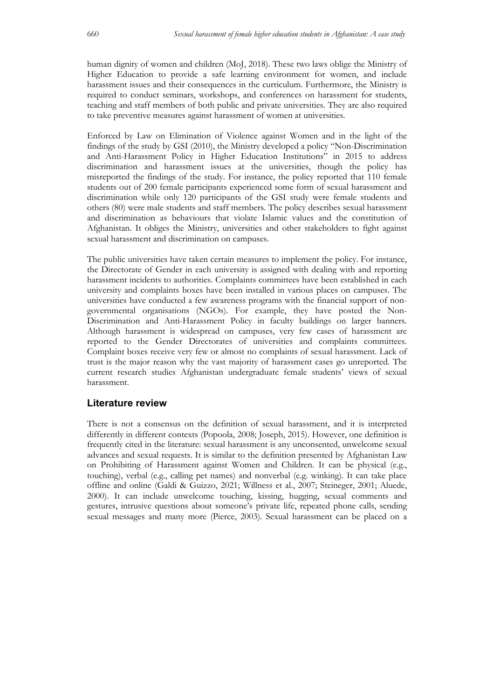human dignity of women and children (MoJ, 2018). These two laws oblige the Ministry of Higher Education to provide a safe learning environment for women, and include harassment issues and their consequences in the curriculum. Furthermore, the Ministry is required to conduct seminars, workshops, and conferences on harassment for students, teaching and staff members of both public and private universities. They are also required to take preventive measures against harassment of women at universities.

Enforced by Law on Elimination of Violence against Women and in the light of the findings of the study by GSI (2010), the Ministry developed a policy "Non-Discrimination and Anti-Harassment Policy in Higher Education Institutions" in 2015 to address discrimination and harassment issues at the universities, though the policy has misreported the findings of the study. For instance, the policy reported that 110 female students out of 200 female participants experienced some form of sexual harassment and discrimination while only 120 participants of the GSI study were female students and others (80) were male students and staff members. The policy describes sexual harassment and discrimination as behaviours that violate Islamic values and the constitution of Afghanistan. It obliges the Ministry, universities and other stakeholders to fight against sexual harassment and discrimination on campuses.

The public universities have taken certain measures to implement the policy. For instance, the Directorate of Gender in each university is assigned with dealing with and reporting harassment incidents to authorities. Complaints committees have been established in each university and complaints boxes have been installed in various places on campuses. The universities have conducted a few awareness programs with the financial support of nongovernmental organisations (NGOs). For example, they have posted the Non-Discrimination and Anti-Harassment Policy in faculty buildings on larger banners. Although harassment is widespread on campuses, very few cases of harassment are reported to the Gender Directorates of universities and complaints committees. Complaint boxes receive very few or almost no complaints of sexual harassment. Lack of trust is the major reason why the vast majority of harassment cases go unreported. The current research studies Afghanistan undergraduate female students' views of sexual harassment.

# **Literature review**

There is not a consensus on the definition of sexual harassment, and it is interpreted differently in different contexts (Popoola, 2008; Joseph, 2015). However, one definition is frequently cited in the literature: sexual harassment is any unconsented, unwelcome sexual advances and sexual requests. It is similar to the definition presented by Afghanistan Law on Prohibiting of Harassment against Women and Children. It can be physical (e.g., touching), verbal (e.g., calling pet names) and nonverbal (e.g. winking). It can take place offline and online (Galdi & Guizzo, 2021; Willness et al., 2007; Steineger, 2001; Aluede, 2000). It can include unwelcome touching, kissing, hugging, sexual comments and gestures, intrusive questions about someone's private life, repeated phone calls, sending sexual messages and many more (Pierce, 2003). Sexual harassment can be placed on a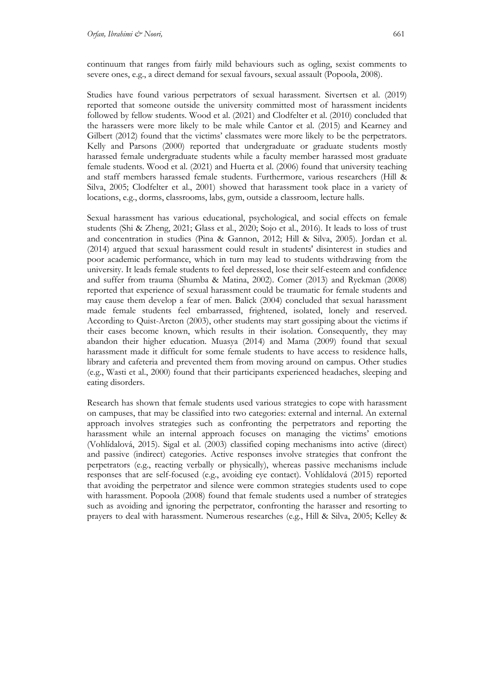continuum that ranges from fairly mild behaviours such as ogling, sexist comments to severe ones, e.g., a direct demand for sexual favours, sexual assault (Popoola, 2008).

Studies have found various perpetrators of sexual harassment. Sivertsen et al. (2019) reported that someone outside the university committed most of harassment incidents followed by fellow students. Wood et al. (2021) and Clodfelter et al. (2010) concluded that the harassers were more likely to be male while Cantor et al. (2015) and Kearney and Gilbert (2012) found that the victims' classmates were more likely to be the perpetrators. Kelly and Parsons (2000) reported that undergraduate or graduate students mostly harassed female undergraduate students while a faculty member harassed most graduate female students. Wood et al. (2021) and Huerta et al. (2006) found that university teaching and staff members harassed female students. Furthermore, various researchers (Hill & Silva, 2005; Clodfelter et al., 2001) showed that harassment took place in a variety of locations, e.g., dorms, classrooms, labs, gym, outside a classroom, lecture halls.

Sexual harassment has various educational, psychological, and social effects on female students (Shi & Zheng, 2021; Glass et al., 2020; Sojo et al., 2016). It leads to loss of trust and concentration in studies (Pina & Gannon, 2012; Hill & Silva, 2005). Jordan et al. (2014) argued that sexual harassment could result in students' disinterest in studies and poor academic performance, which in turn may lead to students withdrawing from the university. It leads female students to feel depressed, lose their self-esteem and confidence and suffer from trauma (Shumba & Matina, 2002). Comer (2013) and Ryckman (2008) reported that experience of sexual harassment could be traumatic for female students and may cause them develop a fear of men. Balick (2004) concluded that sexual harassment made female students feel embarrassed, frightened, isolated, lonely and reserved. According to Quist-Arcton (2003), other students may start gossiping about the victims if their cases become known, which results in their isolation. Consequently, they may abandon their higher education. Muasya (2014) and Mama (2009) found that sexual harassment made it difficult for some female students to have access to residence halls, library and cafeteria and prevented them from moving around on campus. Other studies (e.g., Wasti et al., 2000) found that their participants experienced headaches, sleeping and eating disorders.

Research has shown that female students used various strategies to cope with harassment on campuses, that may be classified into two categories: external and internal. An external approach involves strategies such as confronting the perpetrators and reporting the harassment while an internal approach focuses on managing the victims' emotions (Vohlídalová, 2015). Sigal et al. (2003) classified coping mechanisms into active (direct) and passive (indirect) categories. Active responses involve strategies that confront the perpetrators (e.g., reacting verbally or physically), whereas passive mechanisms include responses that are self-focused (e.g., avoiding eye contact). Vohlídalová (2015) reported that avoiding the perpetrator and silence were common strategies students used to cope with harassment. Popoola (2008) found that female students used a number of strategies such as avoiding and ignoring the perpetrator, confronting the harasser and resorting to prayers to deal with harassment. Numerous researches (e.g., Hill & Silva, 2005; Kelley &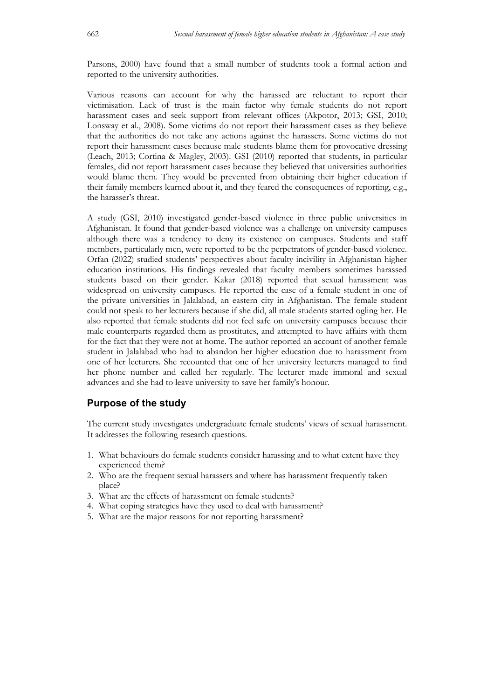Parsons, 2000) have found that a small number of students took a formal action and reported to the university authorities.

Various reasons can account for why the harassed are reluctant to report their victimisation. Lack of trust is the main factor why female students do not report harassment cases and seek support from relevant offices (Akpotor, 2013; GSI, 2010; Lonsway et al., 2008). Some victims do not report their harassment cases as they believe that the authorities do not take any actions against the harassers. Some victims do not report their harassment cases because male students blame them for provocative dressing (Leach, 2013; Cortina & Magley, 2003). GSI (2010) reported that students, in particular females, did not report harassment cases because they believed that universities authorities would blame them. They would be prevented from obtaining their higher education if their family members learned about it, and they feared the consequences of reporting, e.g., the harasser's threat.

A study (GSI, 2010) investigated gender-based violence in three public universities in Afghanistan. It found that gender-based violence was a challenge on university campuses although there was a tendency to deny its existence on campuses. Students and staff members, particularly men, were reported to be the perpetrators of gender-based violence. Orfan (2022) studied students' perspectives about faculty incivility in Afghanistan higher education institutions. His findings revealed that faculty members sometimes harassed students based on their gender. Kakar (2018) reported that sexual harassment was widespread on university campuses. He reported the case of a female student in one of the private universities in Jalalabad, an eastern city in Afghanistan. The female student could not speak to her lecturers because if she did, all male students started ogling her. He also reported that female students did not feel safe on university campuses because their male counterparts regarded them as prostitutes, and attempted to have affairs with them for the fact that they were not at home. The author reported an account of another female student in Jalalabad who had to abandon her higher education due to harassment from one of her lecturers. She recounted that one of her university lecturers managed to find her phone number and called her regularly. The lecturer made immoral and sexual advances and she had to leave university to save her family's honour.

# **Purpose of the study**

The current study investigates undergraduate female students' views of sexual harassment. It addresses the following research questions.

- 1. What behaviours do female students consider harassing and to what extent have they experienced them?
- 2. Who are the frequent sexual harassers and where has harassment frequently taken place?
- 3. What are the effects of harassment on female students?
- 4. What coping strategies have they used to deal with harassment?
- 5. What are the major reasons for not reporting harassment?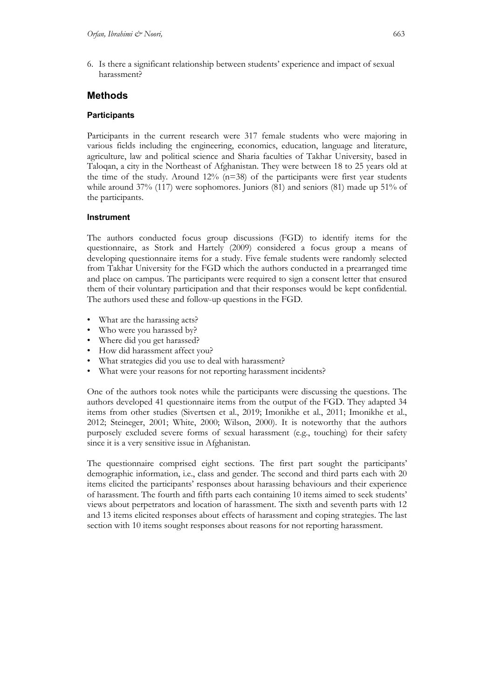6. Is there a significant relationship between students' experience and impact of sexual harassment?

# **Methods**

### **Participants**

Participants in the current research were 317 female students who were majoring in various fields including the engineering, economics, education, language and literature, agriculture, law and political science and Sharia faculties of Takhar University, based in Taloqan, a city in the Northeast of Afghanistan. They were between 18 to 25 years old at the time of the study. Around  $12\%$  (n=38) of the participants were first year students while around 37% (117) were sophomores. Juniors (81) and seniors (81) made up 51% of the participants.

### **Instrument**

The authors conducted focus group discussions (FGD) to identify items for the questionnaire, as Stork and Hartely (2009) considered a focus group a means of developing questionnaire items for a study. Five female students were randomly selected from Takhar University for the FGD which the authors conducted in a prearranged time and place on campus. The participants were required to sign a consent letter that ensured them of their voluntary participation and that their responses would be kept confidential. The authors used these and follow-up questions in the FGD.

- What are the harassing acts?
- Who were you harassed by?
- Where did you get harassed?
- How did harassment affect you?
- What strategies did you use to deal with harassment?
- What were your reasons for not reporting harassment incidents?

One of the authors took notes while the participants were discussing the questions. The authors developed 41 questionnaire items from the output of the FGD. They adapted 34 items from other studies (Sivertsen et al., 2019; Imonikhe et al., 2011; Imonikhe et al., 2012; Steineger, 2001; White, 2000; Wilson, 2000). It is noteworthy that the authors purposely excluded severe forms of sexual harassment (e.g., touching) for their safety since it is a very sensitive issue in Afghanistan.

The questionnaire comprised eight sections. The first part sought the participants' demographic information, i.e., class and gender. The second and third parts each with 20 items elicited the participants' responses about harassing behaviours and their experience of harassment. The fourth and fifth parts each containing 10 items aimed to seek students' views about perpetrators and location of harassment. The sixth and seventh parts with 12 and 13 items elicited responses about effects of harassment and coping strategies. The last section with 10 items sought responses about reasons for not reporting harassment.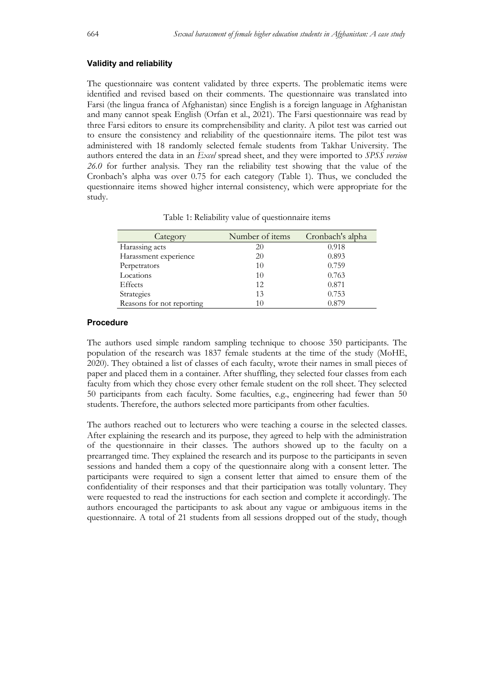#### **Validity and reliability**

The questionnaire was content validated by three experts. The problematic items were identified and revised based on their comments. The questionnaire was translated into Farsi (the lingua franca of Afghanistan) since English is a foreign language in Afghanistan and many cannot speak English (Orfan et al., 2021). The Farsi questionnaire was read by three Farsi editors to ensure its comprehensibility and clarity. A pilot test was carried out to ensure the consistency and reliability of the questionnaire items. The pilot test was administered with 18 randomly selected female students from Takhar University. The authors entered the data in an *Excel* spread sheet, and they were imported to *SPSS version 26.0* for further analysis. They ran the reliability test showing that the value of the Cronbach's alpha was over 0.75 for each category (Table 1). Thus, we concluded the questionnaire items showed higher internal consistency, which were appropriate for the study.

| Category              | Number of <i>items</i> | Cronbach's alpha |
|-----------------------|------------------------|------------------|
| Harassing acts        | 20                     | 0.918            |
| Harassment experience | 20                     | 0.893            |
| Perpetrators          | 10                     | 0.759            |
| Locations             | 10                     | 0.763            |
| Effects               | 12.                    | 0.871            |
| <b>Strategies</b>     | 13                     | 0.753            |

Reasons for not reporting 10 0.879

|  | Table 1: Reliability value of questionnaire items |  |  |  |
|--|---------------------------------------------------|--|--|--|
|  |                                                   |  |  |  |

#### **Procedure**

The authors used simple random sampling technique to choose 350 participants. The population of the research was 1837 female students at the time of the study (MoHE, 2020). They obtained a list of classes of each faculty, wrote their names in small pieces of paper and placed them in a container. After shuffling, they selected four classes from each faculty from which they chose every other female student on the roll sheet. They selected 50 participants from each faculty. Some faculties, e.g., engineering had fewer than 50 students. Therefore, the authors selected more participants from other faculties.

The authors reached out to lecturers who were teaching a course in the selected classes. After explaining the research and its purpose, they agreed to help with the administration of the questionnaire in their classes. The authors showed up to the faculty on a prearranged time. They explained the research and its purpose to the participants in seven sessions and handed them a copy of the questionnaire along with a consent letter. The participants were required to sign a consent letter that aimed to ensure them of the confidentiality of their responses and that their participation was totally voluntary. They were requested to read the instructions for each section and complete it accordingly. The authors encouraged the participants to ask about any vague or ambiguous items in the questionnaire. A total of 21 students from all sessions dropped out of the study, though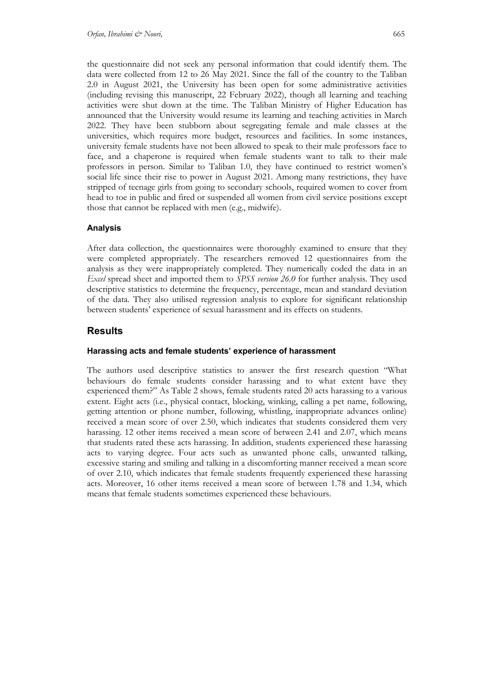the questionnaire did not seek any personal information that could identify them. The data were collected from 12 to 26 May 2021. Since the fall of the country to the Taliban 2.0 in August 2021, the University has been open for some administrative activities (including revising this manuscript, 22 February 2022), though all learning and teaching activities were shut down at the time. The Taliban Ministry of Higher Education has announced that the University would resume its learning and teaching activities in March 2022. They have been stubborn about segregating female and male classes at the universities, which requires more budget, resources and facilities. In some instances, university female students have not been allowed to speak to their male professors face to face, and a chaperone is required when female students want to talk to their male professors in person. Similar to Taliban 1.0, they have continued to restrict women's social life since their rise to power in August 2021. Among many restrictions, they have stripped of teenage girls from going to secondary schools, required women to cover from head to toe in public and fired or suspended all women from civil service positions except those that cannot be replaced with men (e.g., midwife).

# **Analysis**

After data collection, the questionnaires were thoroughly examined to ensure that they were completed appropriately. The researchers removed 12 questionnaires from the analysis as they were inappropriately completed. They numerically coded the data in an *Excel* spread sheet and imported them to *SPSS version 26.0* for further analysis. They used descriptive statistics to determine the frequency, percentage, mean and standard deviation of the data. They also utilised regression analysis to explore for significant relationship between students' experience of sexual harassment and its effects on students.

# **Results**

### **Harassing acts and female students' experience of harassment**

The authors used descriptive statistics to answer the first research question "What behaviours do female students consider harassing and to what extent have they experienced them?" As Table 2 shows, female students rated 20 acts harassing to a various extent. Eight acts (i.e., physical contact, blocking, winking, calling a pet name, following, getting attention or phone number, following, whistling, inappropriate advances online) received a mean score of over 2.50, which indicates that students considered them very harassing. 12 other items received a mean score of between 2.41 and 2.07, which means that students rated these acts harassing. In addition, students experienced these harassing acts to varying degree. Four acts such as unwanted phone calls, unwanted talking, excessive staring and smiling and talking in a discomforting manner received a mean score of over 2.10, which indicates that female students frequently experienced these harassing acts. Moreover, 16 other items received a mean score of between 1.78 and 1.34, which means that female students sometimes experienced these behaviours.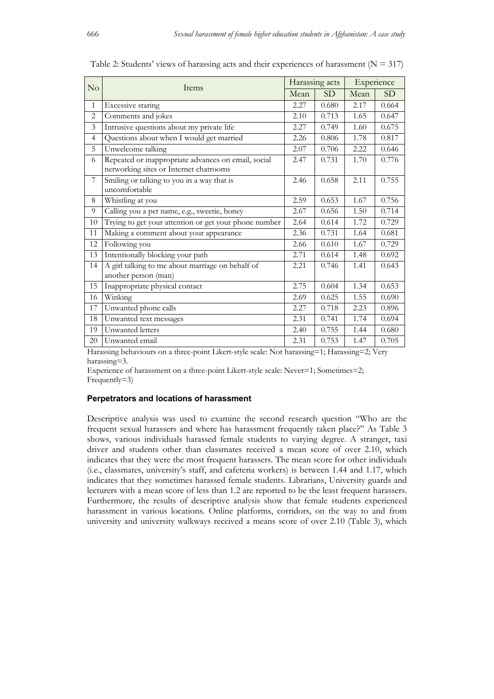|                | No<br>Items                                                                                   |      | Harassing acts | Experience |       |
|----------------|-----------------------------------------------------------------------------------------------|------|----------------|------------|-------|
|                |                                                                                               |      | SD             | Mean       | SD    |
| $\mathbf{1}$   | Excessive staring                                                                             | 2.27 | 0.680          | 2.17       | 0.664 |
| $\overline{c}$ | Comments and jokes                                                                            | 2.10 | 0.713          | 1.65       | 0.647 |
| 3              | Intrusive questions about my private life                                                     | 2.27 | 0.749          | 1.60       | 0.675 |
| $\overline{4}$ | Questions about when I would get married                                                      | 2.26 | 0.806          | 1.78       | 0.817 |
| 5              | Unwelcome talking                                                                             | 2.07 | 0.706          | 2.22       | 0.646 |
| 6              | Repeated or inappropriate advances on email, social<br>networking sites or Internet chatrooms | 2.47 | 0.731          | 1.70       | 0.776 |
| 7              | Smiling or talking to you in a way that is<br>uncomfortable                                   | 2.46 | 0.658          | 2.11       | 0.755 |
| 8              | Whistling at you                                                                              | 2.59 | 0.653          | 1.67       | 0.756 |
| 9              | Calling you a pet name, e.g., sweetie, honey                                                  | 2.67 | 0.656          | 1.50       | 0.714 |
| 10             | Trying to get your attention or get your phone number                                         | 2.64 | 0.614          | 1.72       | 0.729 |
| 11             | Making a comment about your appearance                                                        | 2.36 | 0.731          | 1.64       | 0.681 |
| 12             | Following you                                                                                 | 2.66 | 0.610          | 1.67       | 0.729 |
| 13             | Intentionally blocking your path                                                              | 2.71 | 0.614          | 1.48       | 0.692 |
| 14             | A girl talking to me about marriage on behalf of<br>another person (man)                      | 2.21 | 0.746          | 1.41       | 0.643 |
| 15             | Inappropriate physical contact                                                                | 2.75 | 0.604          | 1.34       | 0.653 |
| 16             | Winking                                                                                       | 2.69 | 0.625          | 1.55       | 0.690 |
| 17             | Unwanted phone calls                                                                          | 2.27 | 0.718          | 2.23       | 0.896 |
| 18             | Unwanted text messages                                                                        | 2.31 | 0.741          | 1.74       | 0.694 |
| 19             | Unwanted letters                                                                              | 2.40 | 0.755          | 1.44       | 0.680 |
| 20             | Unwanted email                                                                                | 2.31 | 0.753          | 1.47       | 0.705 |

Table 2: Students' views of harassing acts and their experiences of harassment ( $N = 317$ )

Harassing behaviours on a three-point Likert-style scale: Not harassing=1; Harassing=2; Very harassing=3.

Experience of harassment on a three-point Likert-style scale: Never=1; Sometimes=2; Frequently=3)

#### **Perpetrators and locations of harassment**

Descriptive analysis was used to examine the second research question "Who are the frequent sexual harassers and where has harassment frequently taken place?" As Table 3 shows, various individuals harassed female students to varying degree. A stranger, taxi driver and students other than classmates received a mean score of over 2.10, which indicates that they were the most frequent harassers. The mean score for other individuals (i.e., classmates, university's staff, and cafeteria workers) is between 1.44 and 1.17, which indicates that they sometimes harassed female students. Librarians, University guards and lecturers with a mean score of less than 1.2 are reported to be the least frequent harassers. Furthermore, the results of descriptive analysis show that female students experienced harassment in various locations. Online platforms, corridors, on the way to and from university and university walkways received a means score of over 2.10 (Table 3), which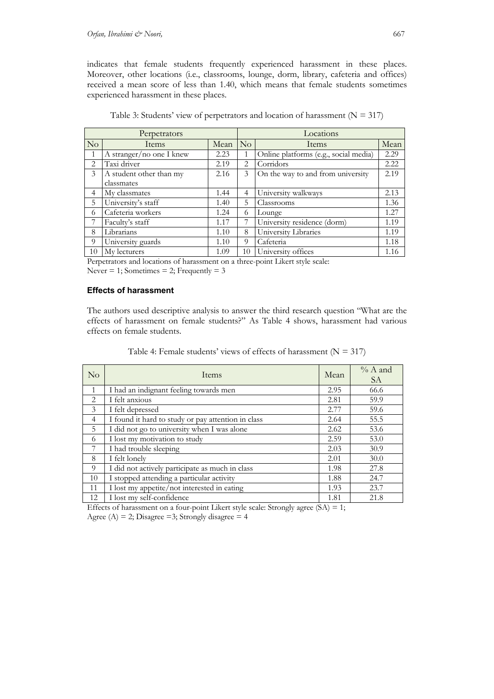indicates that female students frequently experienced harassment in these places. Moreover, other locations (i.e., classrooms, lounge, dorm, library, cafeteria and offices) received a mean score of less than 1.40, which means that female students sometimes experienced harassment in these places.

|                | Perpetrators             |      | Locations      |                                       |      |  |  |
|----------------|--------------------------|------|----------------|---------------------------------------|------|--|--|
| No             | Items                    | Mean | No             | Items                                 |      |  |  |
| $\overline{1}$ | A stranger/no one I knew | 2.23 | 1              | Online platforms (e.g., social media) | 2.29 |  |  |
| $\overline{2}$ | Taxi driver              | 2.19 | 2              | Corridors                             | 2.22 |  |  |
| 3              | A student other than my  | 2.16 | 3              | On the way to and from university     | 2.19 |  |  |
|                | classmates               |      |                |                                       |      |  |  |
| $\overline{4}$ | My classmates            | 1.44 | $\overline{4}$ | University walkways                   | 2.13 |  |  |
| 5              | University's staff       | 1.40 | 5.             | Classrooms                            | 1.36 |  |  |
| 6              | Cafeteria workers        | 1.24 | 6              | Lounge                                | 1.27 |  |  |
| 7              | Faculty's staff          | 1.17 | 7              | University residence (dorm)           | 1.19 |  |  |
| 8              | Librarians               | 1.10 | 8              | University Libraries                  | 1.19 |  |  |
| 9              | University guards        | 1.10 | 9              | Cafeteria                             | 1.18 |  |  |
| 10             | My lecturers             | 1.09 | 10             | University offices                    | 1.16 |  |  |

Table 3: Students' view of perpetrators and location of harassment ( $N = 317$ )

Perpetrators and locations of harassment on a three-point Likert style scale: Never = 1; Sometimes = 2; Frequently =  $3$ 

#### **Effects of harassment**

The authors used descriptive analysis to answer the third research question "What are the effects of harassment on female students?" As Table 4 shows, harassment had various effects on female students.

| Table 4: Female students' views of effects of harassment ( $N = 317$ ) |  |
|------------------------------------------------------------------------|--|
|------------------------------------------------------------------------|--|

| $\overline{N}_{O}$ | Items                                              | Mean | $% A$ and<br><i>SA</i> |
|--------------------|----------------------------------------------------|------|------------------------|
| $\mathbf{1}$       | I had an indignant feeling towards men             | 2.95 | 66.6                   |
| $\mathfrak{D}$     | I felt anxious                                     | 2.81 | 59.9                   |
| 3                  | I felt depressed                                   | 2.77 | 59.6                   |
| $\overline{4}$     | I found it hard to study or pay attention in class | 2.64 | 55.5                   |
| 5                  | I did not go to university when I was alone        | 2.62 | 53.6                   |
| 6                  | I lost my motivation to study                      | 2.59 | 53.0                   |
| 7                  | I had trouble sleeping                             | 2.03 | 30.9                   |
| 8                  | I felt lonely                                      | 2.01 | 30.0                   |
| $\Omega$           | I did not actively participate as much in class    | 1.98 | 27.8                   |
| 10                 | I stopped attending a particular activity          | 1.88 | 24.7                   |
| 11                 | I lost my appetite/not interested in eating        | 1.93 | 23.7                   |
| 12                 | I lost my self-confidence                          | 1.81 | 21.8                   |

Effects of harassment on a four-point Likert style scale: Strongly agree  $(SA) = 1$ ;

Agree (A) = 2; Disagree = 3; Strongly disagree = 4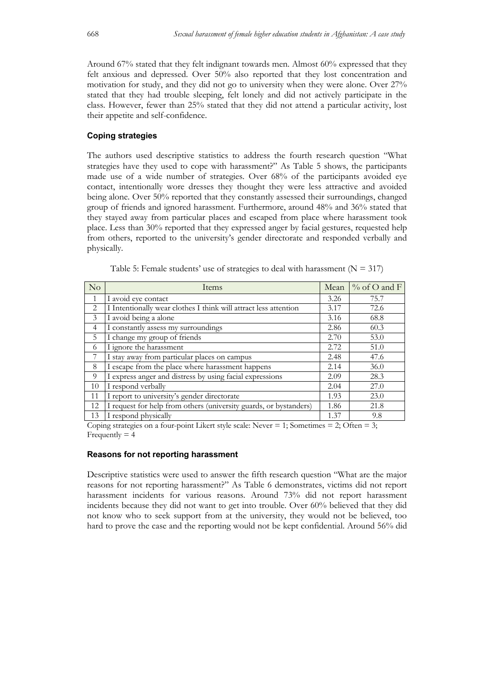Around 67% stated that they felt indignant towards men. Almost 60% expressed that they felt anxious and depressed. Over 50% also reported that they lost concentration and motivation for study, and they did not go to university when they were alone. Over 27% stated that they had trouble sleeping, felt lonely and did not actively participate in the class. However, fewer than 25% stated that they did not attend a particular activity, lost their appetite and self-confidence.

### **Coping strategies**

The authors used descriptive statistics to address the fourth research question "What strategies have they used to cope with harassment?" As Table 5 shows, the participants made use of a wide number of strategies. Over 68% of the participants avoided eye contact, intentionally wore dresses they thought they were less attractive and avoided being alone. Over 50% reported that they constantly assessed their surroundings, changed group of friends and ignored harassment. Furthermore, around 48% and 36% stated that they stayed away from particular places and escaped from place where harassment took place. Less than 30% reported that they expressed anger by facial gestures, requested help from others, reported to the university's gender directorate and responded verbally and physically.

| No                            | Items                                                             | Mean | % of O and F |
|-------------------------------|-------------------------------------------------------------------|------|--------------|
| 1                             | I avoid eye contact                                               | 3.26 | 75.7         |
| $\mathfrak{D}_{\mathfrak{p}}$ | I Intentionally wear clothes I think will attract less attention  | 3.17 | 72.6         |
| 3                             | I avoid being a alone                                             | 3.16 | 68.8         |
| 4                             | I constantly assess my surroundings                               | 2.86 | 60.3         |
| 5                             | I change my group of friends                                      | 2.70 | 53.0         |
| 6                             | I ignore the harassment                                           | 2.72 | 51.0         |
| 7                             | I stay away from particular places on campus                      | 2.48 | 47.6         |
| 8                             | I escape from the place where harassment happens                  | 2.14 | 36.0         |
| 9                             | I express anger and distress by using facial expressions          | 2.09 | 28.3         |
| 10                            | I respond verbally                                                | 2.04 | 27.0         |
| 11                            | I report to university's gender directorate                       | 1.93 | 23.0         |
| 12                            | I request for help from others (university guards, or bystanders) | 1.86 | 21.8         |
| 13                            | I respond physically                                              | 1.37 | 9.8          |

Table 5: Female students' use of strategies to deal with harassment  $(N = 317)$ 

Coping strategies on a four-point Likert style scale: Never  $= 1$ ; Sometimes  $= 2$ ; Often  $= 3$ ; Frequently  $= 4$ 

#### **Reasons for not reporting harassment**

Descriptive statistics were used to answer the fifth research question "What are the major reasons for not reporting harassment?" As Table 6 demonstrates, victims did not report harassment incidents for various reasons. Around 73% did not report harassment incidents because they did not want to get into trouble. Over 60% believed that they did not know who to seek support from at the university, they would not be believed, too hard to prove the case and the reporting would not be kept confidential. Around 56% did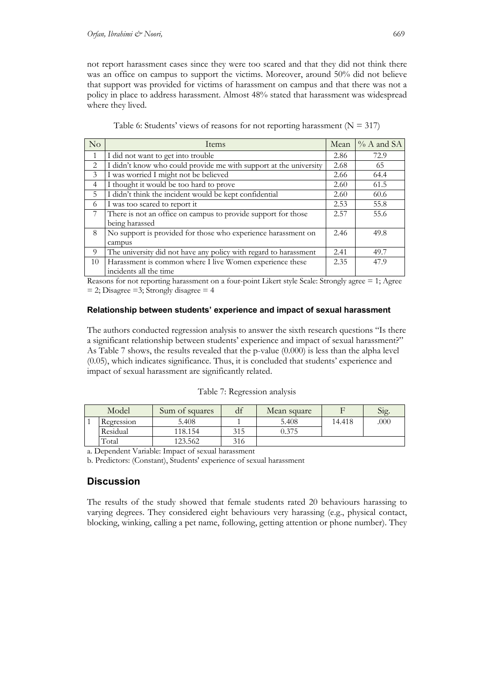not report harassment cases since they were too scared and that they did not think there was an office on campus to support the victims. Moreover, around 50% did not believe that support was provided for victims of harassment on campus and that there was not a policy in place to address harassment. Almost 48% stated that harassment was widespread where they lived.

| No             | Items                                                             | Mean | $% A$ and SA |
|----------------|-------------------------------------------------------------------|------|--------------|
|                | I did not want to get into trouble                                | 2.86 | 72.9         |
| 2              | I didn't know who could provide me with support at the university | 2.68 | 65           |
| 3              | I was worried I might not be believed                             | 2.66 | 64.4         |
| $\overline{4}$ | I thought it would be too hard to prove                           | 2.60 | 61.5         |
| 5              | I didn't think the incident would be kept confidential            | 2.60 | 60.6         |
| 6              | I was too scared to report it                                     | 2.53 | 55.8         |
| 7              | There is not an office on campus to provide support for those     | 2.57 | 55.6         |
|                | being harassed                                                    |      |              |
| 8              | No support is provided for those who experience harassment on     | 2.46 | 49.8         |
|                | campus                                                            |      |              |
| 9              | The university did not have any policy with regard to harassment  | 2.41 | 49.7         |
| 10             | Harassment is common where I live Women experience these          | 2.35 | 47.9         |
|                | incidents all the time                                            |      |              |

| Table 6: Students' views of reasons for not reporting harassment ( $N = 317$ ) |  |  |
|--------------------------------------------------------------------------------|--|--|
|                                                                                |  |  |

Reasons for not reporting harassment on a four-point Likert style Scale: Strongly agree = 1; Agree  $= 2$ ; Disagree  $= 3$ ; Strongly disagree  $= 4$ 

### **Relationship between students' experience and impact of sexual harassment**

The authors conducted regression analysis to answer the sixth research questions "Is there a significant relationship between students' experience and impact of sexual harassment?" As Table 7 shows, the results revealed that the p-value (0.000) is less than the alpha level (0.05), which indicates significance. Thus, it is concluded that students' experience and impact of sexual harassment are significantly related.

### Table 7: Regression analysis

| Model      | Sum of squares | αı  | Mean square |        | Sig. |
|------------|----------------|-----|-------------|--------|------|
| Regression | 5.408          |     | 5.408       | 14.418 | .000 |
| Residual   | 118.154        | 315 | 0.375       |        |      |
| Total      | 123.562        | 316 |             |        |      |

a. Dependent Variable: Impact of sexual harassment

b. Predictors: (Constant), Students' experience of sexual harassment

# **Discussion**

The results of the study showed that female students rated 20 behaviours harassing to varying degrees. They considered eight behaviours very harassing (e.g., physical contact, blocking, winking, calling a pet name, following, getting attention or phone number). They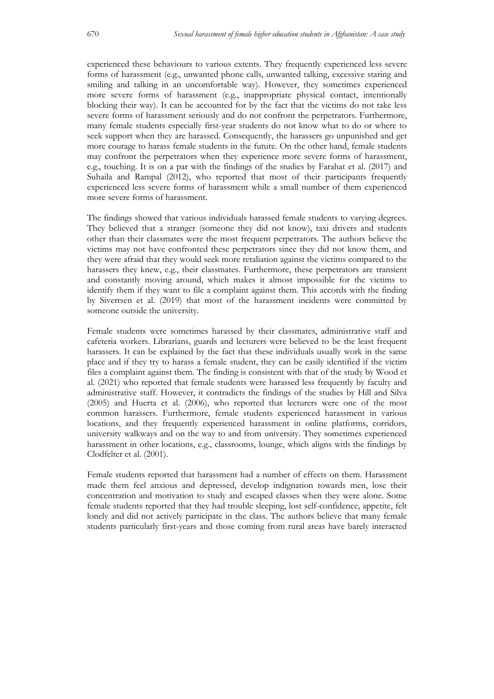experienced these behaviours to various extents. They frequently experienced less severe forms of harassment (e.g., unwanted phone calls, unwanted talking, excessive staring and smiling and talking in an uncomfortable way). However, they sometimes experienced more severe forms of harassment (e.g., inappropriate physical contact, intentionally blocking their way). It can be accounted for by the fact that the victims do not take less severe forms of harassment seriously and do not confront the perpetrators. Furthermore, many female students especially first-year students do not know what to do or where to seek support when they are harassed. Consequently, the harassers go unpunished and get more courage to harass female students in the future. On the other hand, female students may confront the perpetrators when they experience more severe forms of harassment, e.g., touching. It is on a par with the findings of the studies by Farahat et al. (2017) and Suhaila and Rampal (2012), who reported that most of their participants frequently experienced less severe forms of harassment while a small number of them experienced more severe forms of harassment.

The findings showed that various individuals harassed female students to varying degrees. They believed that a stranger (someone they did not know), taxi drivers and students other than their classmates were the most frequent perpetrators. The authors believe the victims may not have confronted these perpetrators since they did not know them, and they were afraid that they would seek more retaliation against the victims compared to the harassers they knew, e.g., their classmates. Furthermore, these perpetrators are transient and constantly moving around, which makes it almost impossible for the victims to identify them if they want to file a complaint against them. This accords with the finding by Sivertsen et al. (2019) that most of the harassment incidents were committed by someone outside the university.

Female students were sometimes harassed by their classmates, administrative staff and cafeteria workers. Librarians, guards and lecturers were believed to be the least frequent harassers. It can be explained by the fact that these individuals usually work in the same place and if they try to harass a female student, they can be easily identified if the victim files a complaint against them. The finding is consistent with that of the study by Wood et al. (2021) who reported that female students were harassed less frequently by faculty and administrative staff. However, it contradicts the findings of the studies by Hill and Silva (2005) and Huerta et al. (2006), who reported that lecturers were one of the most common harassers. Furthermore, female students experienced harassment in various locations, and they frequently experienced harassment in online platforms, corridors, university walkways and on the way to and from university. They sometimes experienced harassment in other locations, e.g., classrooms, lounge, which aligns with the findings by Clodfelter et al. (2001).

Female students reported that harassment had a number of effects on them. Harassment made them feel anxious and depressed, develop indignation towards men, lose their concentration and motivation to study and escaped classes when they were alone. Some female students reported that they had trouble sleeping, lost self-confidence, appetite, felt lonely and did not actively participate in the class. The authors believe that many female students particularly first-years and those coming from rural areas have barely interacted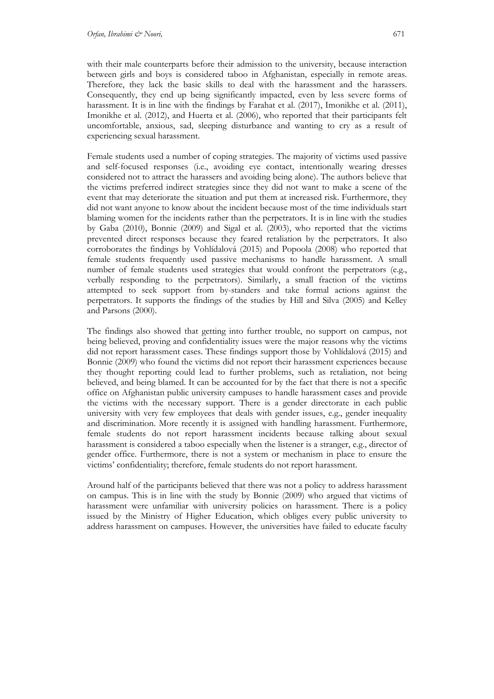with their male counterparts before their admission to the university, because interaction between girls and boys is considered taboo in Afghanistan, especially in remote areas. Therefore, they lack the basic skills to deal with the harassment and the harassers. Consequently, they end up being significantly impacted, even by less severe forms of harassment. It is in line with the findings by Farahat et al. (2017), Imonikhe et al. (2011), Imonikhe et al. (2012), and Huerta et al. (2006), who reported that their participants felt uncomfortable, anxious, sad, sleeping disturbance and wanting to cry as a result of experiencing sexual harassment.

Female students used a number of coping strategies. The majority of victims used passive and self-focused responses (i.e., avoiding eye contact, intentionally wearing dresses considered not to attract the harassers and avoiding being alone). The authors believe that the victims preferred indirect strategies since they did not want to make a scene of the event that may deteriorate the situation and put them at increased risk. Furthermore, they did not want anyone to know about the incident because most of the time individuals start blaming women for the incidents rather than the perpetrators. It is in line with the studies by Gaba (2010), Bonnie (2009) and Sigal et al. (2003), who reported that the victims prevented direct responses because they feared retaliation by the perpetrators. It also corroborates the findings by Vohlídalová (2015) and Popoola (2008) who reported that female students frequently used passive mechanisms to handle harassment. A small number of female students used strategies that would confront the perpetrators (e.g., verbally responding to the perpetrators). Similarly, a small fraction of the victims attempted to seek support from by-standers and take formal actions against the perpetrators. It supports the findings of the studies by Hill and Silva (2005) and Kelley and Parsons (2000).

The findings also showed that getting into further trouble, no support on campus, not being believed, proving and confidentiality issues were the major reasons why the victims did not report harassment cases. These findings support those by Vohlídalová (2015) and Bonnie (2009) who found the victims did not report their harassment experiences because they thought reporting could lead to further problems, such as retaliation, not being believed, and being blamed. It can be accounted for by the fact that there is not a specific office on Afghanistan public university campuses to handle harassment cases and provide the victims with the necessary support. There is a gender directorate in each public university with very few employees that deals with gender issues, e.g., gender inequality and discrimination. More recently it is assigned with handling harassment. Furthermore, female students do not report harassment incidents because talking about sexual harassment is considered a taboo especially when the listener is a stranger, e.g., director of gender office. Furthermore, there is not a system or mechanism in place to ensure the victims' confidentiality; therefore, female students do not report harassment.

Around half of the participants believed that there was not a policy to address harassment on campus. This is in line with the study by Bonnie (2009) who argued that victims of harassment were unfamiliar with university policies on harassment. There is a policy issued by the Ministry of Higher Education, which obliges every public university to address harassment on campuses. However, the universities have failed to educate faculty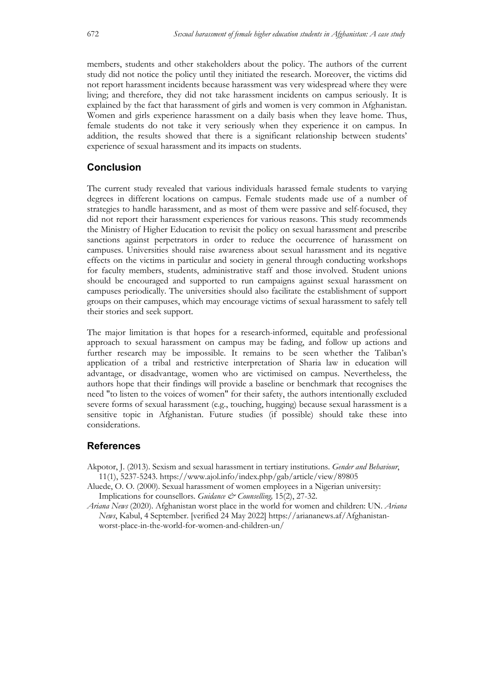members, students and other stakeholders about the policy. The authors of the current study did not notice the policy until they initiated the research. Moreover, the victims did not report harassment incidents because harassment was very widespread where they were living; and therefore, they did not take harassment incidents on campus seriously. It is explained by the fact that harassment of girls and women is very common in Afghanistan. Women and girls experience harassment on a daily basis when they leave home. Thus, female students do not take it very seriously when they experience it on campus. In addition, the results showed that there is a significant relationship between students' experience of sexual harassment and its impacts on students.

# **Conclusion**

The current study revealed that various individuals harassed female students to varying degrees in different locations on campus. Female students made use of a number of strategies to handle harassment, and as most of them were passive and self-focused, they did not report their harassment experiences for various reasons. This study recommends the Ministry of Higher Education to revisit the policy on sexual harassment and prescribe sanctions against perpetrators in order to reduce the occurrence of harassment on campuses. Universities should raise awareness about sexual harassment and its negative effects on the victims in particular and society in general through conducting workshops for faculty members, students, administrative staff and those involved. Student unions should be encouraged and supported to run campaigns against sexual harassment on campuses periodically. The universities should also facilitate the establishment of support groups on their campuses, which may encourage victims of sexual harassment to safely tell their stories and seek support.

The major limitation is that hopes for a research-informed, equitable and professional approach to sexual harassment on campus may be fading, and follow up actions and further research may be impossible. It remains to be seen whether the Taliban's application of a tribal and restrictive interpretation of Sharia law in education will advantage, or disadvantage, women who are victimised on campus. Nevertheless, the authors hope that their findings will provide a baseline or benchmark that recognises the need "to listen to the voices of women" for their safety, the authors intentionally excluded severe forms of sexual harassment (e.g., touching, hugging) because sexual harassment is a sensitive topic in Afghanistan. Future studies (if possible) should take these into considerations.

# **References**

- Akpotor, J. (2013). Sexism and sexual harassment in tertiary institutions. *Gender and Behaviour*, 11(1), 5237-5243. https://www.ajol.info/index.php/gab/article/view/89805
- Aluede, O. O. (2000). Sexual harassment of women employees in a Nigerian university: Implications for counsellors. *Guidance & Counselling*, 15(2), 27-32.
- *Ariana News* (2020). Afghanistan worst place in the world for women and children: UN. *Ariana News*, Kabul, 4 September. [verified 24 May 2022] https://ariananews.af/Afghanistanworst-place-in-the-world-for-women-and-children-un/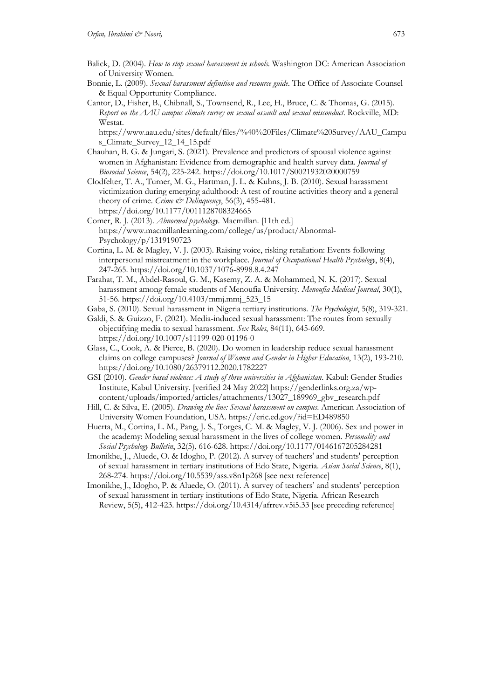- Balick, D. (2004). *How to stop sexual harassment in schools.* Washington DC: American Association of University Women.
- Bonnie, L. (2009). *Sexual harassment definition and resource guide*. The Office of Associate Counsel & Equal Opportunity Compliance.
- Cantor, D., Fisher, B., Chibnall, S., Townsend, R., Lee, H., Bruce, C. & Thomas, G. (2015). *Report on the AAU campus climate survey on sexual assault and sexual misconduct*. Rockville, MD: Westat.

https://www.aau.edu/sites/default/files/%40%20Files/Climate%20Survey/AAU\_Campu s\_Climate\_Survey\_12\_14\_15.pdf

- Chauhan, B. G. & Jungari, S. (2021). Prevalence and predictors of spousal violence against women in Afghanistan: Evidence from demographic and health survey data. *Journal of Biosocial Science*, 54(2), 225-242. https://doi.org/10.1017/S0021932020000759
- Clodfelter, T. A., Turner, M. G., Hartman, J. L. & Kuhns, J. B. (2010). Sexual harassment victimization during emerging adulthood: A test of routine activities theory and a general theory of crime. *Crime & Delinquency*, 56(3), 455-481. https://doi.org/10.1177/0011128708324665
- Comer, R. J. (2013). *Abnormal psychology*. Macmillan. [11th ed.] https://www.macmillanlearning.com/college/us/product/Abnormal-Psychology/p/1319190723
- Cortina, L. M. & Magley, V. J. (2003). Raising voice, risking retaliation: Events following interpersonal mistreatment in the workplace. *Journal of Occupational Health Psychology*, 8(4), 247-265. https://doi.org/10.1037/1076-8998.8.4.247
- Farahat, T. M., Abdel-Rasoul, G. M., Kasemy, Z. A. & Mohammed, N. K. (2017). Sexual harassment among female students of Menoufia University. *Menoufia Medical Journal*, 30(1), 51-56. https://doi.org/10.4103/mmj.mmj\_523\_15
- Gaba, S. (2010). Sexual harassment in Nigeria tertiary institutions. *The Psychologist*, 5(8), 319-321.
- Galdi, S. & Guizzo, F. (2021). Media-induced sexual harassment: The routes from sexually objectifying media to sexual harassment. *Sex Roles*, 84(11), 645-669. https://doi.org/10.1007/s11199-020-01196-0
- Glass, C., Cook, A. & Pierce, B. (2020). Do women in leadership reduce sexual harassment claims on college campuses? *Journal of Women and Gender in Higher Education*, 13(2), 193-210. https://doi.org/10.1080/26379112.2020.1782227
- GSI (2010). *Gender based violence: A study of three universities in Afghanistan*. Kabul: Gender Studies Institute, Kabul University. [verified 24 May 2022] https://genderlinks.org.za/wpcontent/uploads/imported/articles/attachments/13027\_189969\_gbv\_research.pdf
- Hill, C. & Silva, E. (2005). *Drawing the line: Sexual harassment on campus*. American Association of University Women Foundation, USA. https://eric.ed.gov/?id=ED489850
- Huerta, M., Cortina, L. M., Pang, J. S., Torges, C. M. & Magley, V. J. (2006). Sex and power in the academy: Modeling sexual harassment in the lives of college women. *Personality and Social Psychology Bulletin*, 32(5), 616-628. https://doi.org/10.1177/0146167205284281
- Imonikhe, J., Aluede, O. & Idogho, P. (2012). A survey of teachers' and students' perception of sexual harassment in tertiary institutions of Edo State, Nigeria. *Asian Social Science*, 8(1), 268-274. https://doi.org/10.5539/ass.v8n1p268 [see next reference]
- Imonikhe, J., Idogho, P. & Aluede, O. (2011). A survey of teachers' and students' perception of sexual harassment in tertiary institutions of Edo State, Nigeria. African Research Review, 5(5), 412-423. https://doi.org/10.4314/afrrev.v5i5.33 [see preceding reference]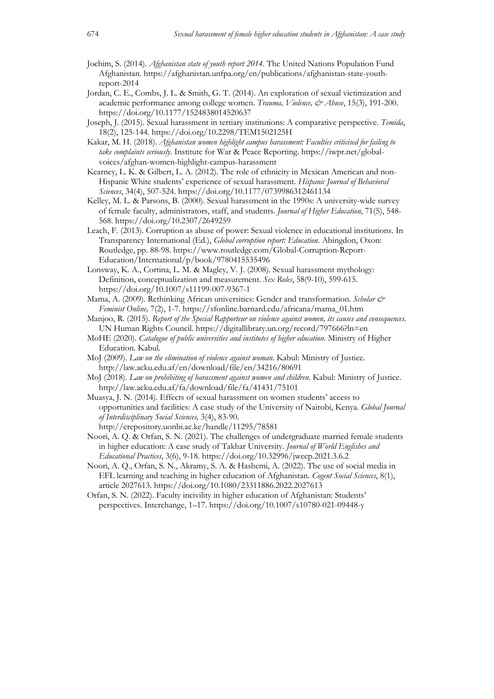- Jochim, S. (2014). *Afghanistan state of youth report 2014*. The United Nations Population Fund Afghanistan. https://afghanistan.unfpa.org/en/publications/afghanistan-state-youthreport-2014
- Jordan, C. E., Combs, J. L. & Smith, G. T. (2014). An exploration of sexual victimization and academic performance among college women. *Trauma, Violence, & Abuse*, 15(3), 191-200. https://doi.org/10.1177/1524838014520637
- Joseph, J. (2015). Sexual harassment in tertiary institutions: A comparative perspective. *Temida*, 18(2), 125-144. https://doi.org/10.2298/TEM1502125H
- Kakar, M. H. (2018). *Afghanistan women highlight campus harassment: Faculties criticised for failing to take complaints seriously*. Institute for War & Peace Reporting. https://iwpr.net/globalvoices/afghan-women-highlight-campus-harassment
- Kearney, L. K. & Gilbert, L. A. (2012). The role of ethnicity in Mexican American and non-Hispanic White students' experience of sexual harassment. *Hispanic Journal of Behavioral Sciences*, 34(4), 507-524. https://doi.org/10.1177/0739986312461134
- Kelley, M. L. & Parsons, B. (2000). Sexual harassment in the 1990s: A university-wide survey of female faculty, administrators, staff, and students. *Journal of Higher Education*, 71(5), 548- 568. https://doi.org/10.2307/2649259
- Leach, F. (2013). Corruption as abuse of power: Sexual violence in educational institutions. In Transparency International (Ed.), *Global corruption report: Education*. Abingdon, Oxon: Routledge, pp. 88-98. https://www.routledge.com/Global-Corruption-Report-Education/International/p/book/9780415535496
- Lonsway, K. A., Cortina, L. M. & Magley, V. J. (2008). Sexual harassment mythology: Definition, conceptualization and measurement. *Sex Roles*, 58(9-10), 599-615. https://doi.org/10.1007/s11199-007-9367-1
- Mama, A. (2009). Rethinking African universities: Gender and transformation. *Scholar & Feminist Online,* 7(2), 1-7. https://sfonline.barnard.edu/africana/mama\_01.htm
- Manjoo, R. (2015). *Report of the Special Rapporteur on violence against women, its causes and consequences*. UN Human Rights Council. https://digitallibrary.un.org/record/797666?ln=en
- MoHE (2020). *Catalogue of public universities and institutes of higher education*. Ministry of Higher Education. Kabul.
- MoJ (2009). *Law on the elimination of violence against woman*. Kabul: Ministry of Justice. http://law.acku.edu.af/en/download/file/en/34216/80691
- MoJ (2018). *Law on prohibiting of harassment against women and children*. Kabul: Ministry of Justice. http://law.acku.edu.af/fa/download/file/fa/41431/75101
- Muasya, J. N. (2014). Effects of sexual harassment on women students' access to opportunities and facilities: A case study of the University of Nairobi, Kenya. *Global Journal of Interdisciplinary Social Sciences,* 3(4), 83-90. http://erepository.uonbi.ac.ke/handle/11295/78581
- Noori, A. Q. & Orfan, S. N. (2021). The challenges of undergraduate married female students in higher education: A case study of Takhar University. *Journal of World Englishes and Educational Practices*, 3(6), 9-18. https://doi.org/10.32996/jweep.2021.3.6.2
- Noori, A. Q., Orfan, S. N., Akramy, S. A. & Hashemi, A. (2022). The use of social media in EFL learning and teaching in higher education of Afghanistan. *Cogent Social Sciences*, 8(1), article 2027613. https://doi.org/10.1080/23311886.2022.2027613
- Orfan, S. N. (2022). Faculty incivility in higher education of Afghanistan: Students' perspectives. Interchange, 1–17. https://doi.org/10.1007/s10780-021-09448-y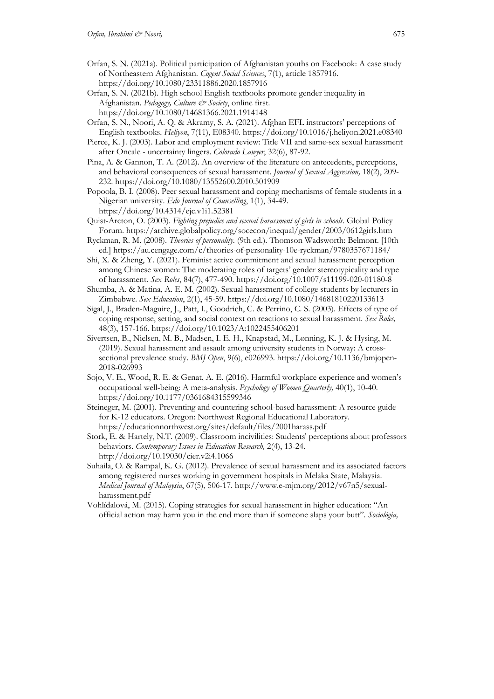- Orfan, S. N. (2021a). Political participation of Afghanistan youths on Facebook: A case study of Northeastern Afghanistan. *Cogent Social Sciences*, 7(1), article 1857916. https://doi.org/10.1080/23311886.2020.1857916
- Orfan, S. N. (2021b). High school English textbooks promote gender inequality in Afghanistan. Pedagogy, Culture & Society, online first. https://doi.org/10.1080/14681366.2021.1914148
- Orfan, S. N., Noori, A. Q. & Akramy, S. A. (2021). Afghan EFL instructors' perceptions of English textbooks. *Heliyon*, 7(11), E08340. https://doi.org/10.1016/j.heliyon.2021.e08340
- Pierce, K. J. (2003). Labor and employment review: Title VII and same-sex sexual harassment after Oncale - uncertainty lingers. *Colorado Lawyer*, 32(6), 87-92.
- Pina, A. & Gannon, T. A. (2012). An overview of the literature on antecedents, perceptions, and behavioral consequences of sexual harassment. *Journal of Sexual Aggression,* 18(2), 209- 232. https://doi.org/10.1080/13552600.2010.501909
- Popoola, B. I. (2008). Peer sexual harassment and coping mechanisms of female students in a Nigerian university. *Edo Journal of Counselling*, 1(1), 34-49. https://doi.org/10.4314/ejc.v1i1.52381
- Quist-Arcton, O. (2003). *Fighting prejudice and sexual harassment of girls in schools*. Global Policy Forum. https://archive.globalpolicy.org/socecon/inequal/gender/2003/0612girls.htm
- Ryckman, R. M. (2008). *Theories of personality.* (9th ed.). Thomson Wadsworth: Belmont. [10th ed.] https://au.cengage.com/c/theories-of-personality-10e-ryckman/9780357671184/
- Shi, X. & Zheng, Y. (2021). Feminist active commitment and sexual harassment perception among Chinese women: The moderating roles of targets' gender stereotypicality and type of harassment. *Sex Roles*, 84(7), 477-490. https://doi.org/10.1007/s11199-020-01180-8
- Shumba, A. & Matina, A. E. M. (2002). Sexual harassment of college students by lecturers in Zimbabwe. *Sex Education*, 2(1), 45-59. https://doi.org/10.1080/14681810220133613
- Sigal, J., Braden-Maguire, J., Patt, I., Goodrich, C. & Perrino, C. S. (2003). Effects of type of coping response, setting, and social context on reactions to sexual harassment. *Sex Roles,*  48(3), 157-166. https://doi.org/10.1023/A:1022455406201
- Sivertsen, B., Nielsen, M. B., Madsen, I. E. H., Knapstad, M., Lønning, K. J. & Hysing, M. (2019). Sexual harassment and assault among university students in Norway: A crosssectional prevalence study. *BMJ Open*, 9(6), e026993. https://doi.org/10.1136/bmjopen-2018-026993
- Sojo, V. E., Wood, R. E. & Genat, A. E. (2016). Harmful workplace experience and women's occupational well-being: A meta-analysis. *Psychology of Women Quarterly,* 40(1), 10-40. https://doi.org/10.1177/0361684315599346
- Steineger, M. (2001). Preventing and countering school-based harassment: A resource guide for K-12 educators. Oregon: Northwest Regional Educational Laboratory. https://educationnorthwest.org/sites/default/files/2001harass.pdf
- Stork, E. & Hartely, N.T. (2009). Classroom incivilities: Students' perceptions about professors behaviors. *Contemporary Issues in Education Research,* 2(4), 13-24. http://doi.org/10.19030/cier.v2i4.1066
- Suhaila, O. & Rampal, K. G. (2012). Prevalence of sexual harassment and its associated factors among registered nurses working in government hospitals in Melaka State, Malaysia. *Medical Journal of Malaysia*, 67(5), 506-17. http://www.e-mjm.org/2012/v67n5/sexualharassment.pdf
- Vohlídalová, M. (2015). Coping strategies for sexual harassment in higher education: "An official action may harm you in the end more than if someone slaps your butt"*. Sociológia,*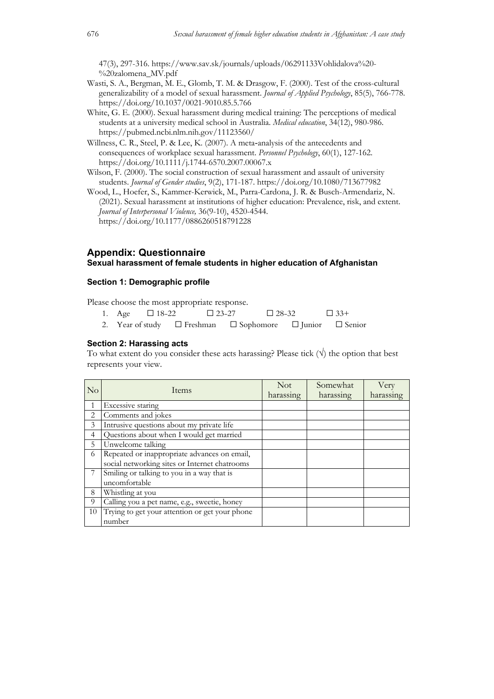47(3), 297-316. https://www.sav.sk/journals/uploads/06291133Vohlidalova%20- %20zalomena\_MV.pdf

- Wasti, S. A., Bergman, M. E., Glomb, T. M. & Drasgow, F. (2000). Test of the cross-cultural generalizability of a model of sexual harassment. *Journal of Applied Psychology*, 85(5), 766-778. https://doi.org/10.1037/0021-9010.85.5.766
- White, G. E. (2000). Sexual harassment during medical training: The perceptions of medical students at a university medical school in Australia. *Medical education*, 34(12), 980-986. https://pubmed.ncbi.nlm.nih.gov/11123560/
- Willness, C. R., Steel, P. & Lee, K. (2007). A meta-analysis of the antecedents and consequences of workplace sexual harassment. *Personnel Psychology*, 60(1), 127-162. https://doi.org/10.1111/j.1744-6570.2007.00067.x
- Wilson, F. (2000). The social construction of sexual harassment and assault of university students. *Journal of Gender studies*, 9(2), 171-187. https://doi.org/10.1080/713677982
- Wood, L., Hoefer, S., Kammer-Kerwick, M., Parra-Cardona, J. R. & Busch-Armendariz, N. (2021). Sexual harassment at institutions of higher education: Prevalence, risk, and extent. *Journal of Interpersonal Violence,* 36(9-10), 4520-4544. https://doi.org/10.1177/0886260518791228

# **Appendix: Questionnaire**

### **Sexual harassment of female students in higher education of Afghanistan**

### **Section 1: Demographic profile**

Please choose the most appropriate response.

|  | 1. Age $\Box$ 18-22 | $\Box$ 23-27 | $\Box$ 28-32                                                                  | $\Box$ 33+ |
|--|---------------------|--------------|-------------------------------------------------------------------------------|------------|
|  |                     |              | 2. Year of study $\Box$ Freshman $\Box$ Sophomore $\Box$ Junior $\Box$ Senior |            |

#### **Section 2: Harassing acts**

To what extent do you consider these acts harassing? Please tick  $(\forall)$  the option that best represents your view.

| $\overline{\rm No}$ | <b>Items</b>                                   | <b>Not</b><br>harassing | Somewhat<br>harassing | Very<br>harassing |
|---------------------|------------------------------------------------|-------------------------|-----------------------|-------------------|
|                     | Excessive staring                              |                         |                       |                   |
| 2                   | Comments and jokes                             |                         |                       |                   |
| 3                   | Intrusive questions about my private life      |                         |                       |                   |
| $\overline{4}$      | Questions about when I would get married       |                         |                       |                   |
| 5                   | Unwelcome talking                              |                         |                       |                   |
| 6                   | Repeated or inappropriate advances on email,   |                         |                       |                   |
|                     | social networking sites or Internet chatrooms  |                         |                       |                   |
|                     | Smiling or talking to you in a way that is     |                         |                       |                   |
|                     | uncomfortable                                  |                         |                       |                   |
| 8                   | Whistling at you                               |                         |                       |                   |
| 9                   | Calling you a pet name, e.g., sweetie, honey   |                         |                       |                   |
| 10                  | Trying to get your attention or get your phone |                         |                       |                   |
|                     | number                                         |                         |                       |                   |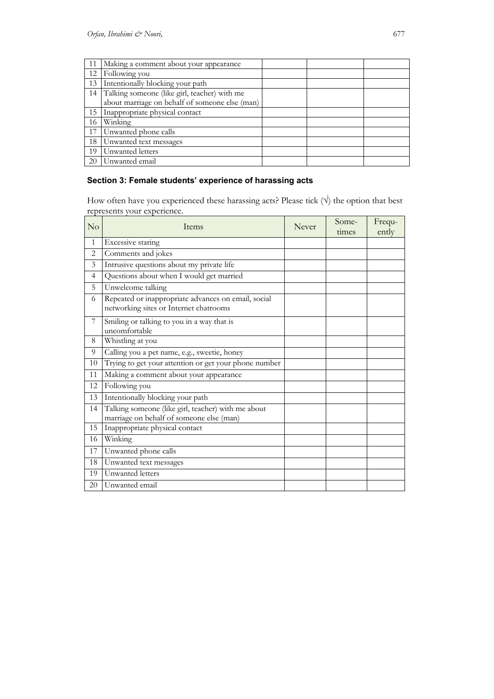| 11 | Making a comment about your appearance          |  |  |
|----|-------------------------------------------------|--|--|
| 12 | Following you                                   |  |  |
| 13 | Intentionally blocking your path                |  |  |
|    | 14 Talking someone (like girl, teacher) with me |  |  |
|    | about marriage on behalf of someone else (man)  |  |  |
| 15 | Inappropriate physical contact                  |  |  |
| 16 | Winking                                         |  |  |
| 17 | Unwanted phone calls                            |  |  |
| 18 | Unwanted text messages                          |  |  |
| 19 | Unwanted letters                                |  |  |
| 20 | Unwanted email                                  |  |  |

# **Section 3: Female students' experience of harassing acts**

How often have you experienced these harassing acts? Please tick  $(\forall)$  the option that best represents your experience.

| No             | Items                                                                                          | Never | Some-<br>times | Frequ-<br>ently |
|----------------|------------------------------------------------------------------------------------------------|-------|----------------|-----------------|
| $\mathbf{1}$   | Excessive staring                                                                              |       |                |                 |
| $\overline{2}$ | Comments and jokes                                                                             |       |                |                 |
| 3              | Intrusive questions about my private life                                                      |       |                |                 |
| $\overline{4}$ | Questions about when I would get married                                                       |       |                |                 |
| 5              | Unwelcome talking                                                                              |       |                |                 |
| 6              | Repeated or inappropriate advances on email, social<br>networking sites or Internet chatrooms  |       |                |                 |
| 7              | Smiling or talking to you in a way that is<br>uncomfortable                                    |       |                |                 |
| 8              | Whistling at you                                                                               |       |                |                 |
| 9              | Calling you a pet name, e.g., sweetie, honey                                                   |       |                |                 |
| 10             | Trying to get your attention or get your phone number                                          |       |                |                 |
| 11             | Making a comment about your appearance                                                         |       |                |                 |
| 12             | Following you                                                                                  |       |                |                 |
| 13             | Intentionally blocking your path                                                               |       |                |                 |
| 14             | Talking someone (like girl, teacher) with me about<br>marriage on behalf of someone else (man) |       |                |                 |
| 15             | Inappropriate physical contact                                                                 |       |                |                 |
| 16             | Winking                                                                                        |       |                |                 |
| 17             | Unwanted phone calls                                                                           |       |                |                 |
| 18             | Unwanted text messages                                                                         |       |                |                 |
| 19             | Unwanted letters                                                                               |       |                |                 |
| 20             | Unwanted email                                                                                 |       |                |                 |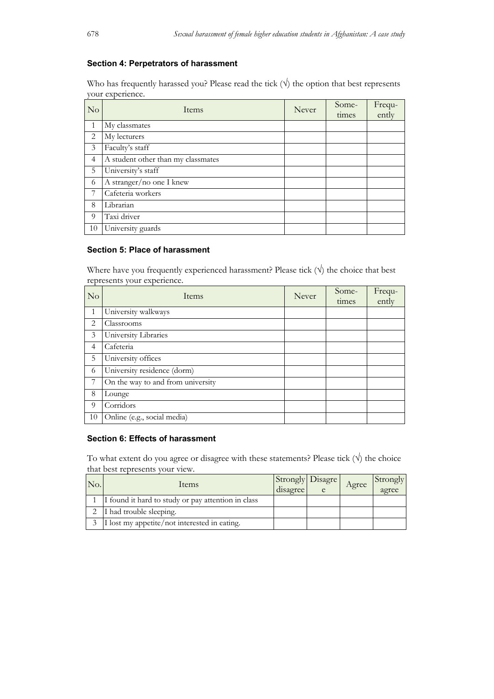### **Section 4: Perpetrators of harassment**

Who has frequently harassed you? Please read the tick  $(\forall)$  the option that best represents your experience.

| N <sub>o</sub> | Items                              | Never | Some-<br>times | Frequ-<br>ently |
|----------------|------------------------------------|-------|----------------|-----------------|
| $\mathbf{1}$   | My classmates                      |       |                |                 |
| 2              | My lecturers                       |       |                |                 |
| 3              | Faculty's staff                    |       |                |                 |
| $\overline{4}$ | A student other than my classmates |       |                |                 |
| 5              | University's staff                 |       |                |                 |
| 6              | A stranger/no one I knew           |       |                |                 |
| 7              | Cafeteria workers                  |       |                |                 |
| 8              | Librarian                          |       |                |                 |
| 9              | Taxi driver                        |       |                |                 |
| 10             | University guards                  |       |                |                 |

# **Section 5: Place of harassment**

Where have you frequently experienced harassment? Please tick  $(\forall)$  the choice that best represents your experience.

| No             | Items                             | Never | Some-<br>times | Frequ-<br>ently |
|----------------|-----------------------------------|-------|----------------|-----------------|
| $\mathbf{1}$   | University walkways               |       |                |                 |
| 2              | Classrooms                        |       |                |                 |
| 3              | University Libraries              |       |                |                 |
| $\overline{4}$ | Cafeteria                         |       |                |                 |
| 5              | University offices                |       |                |                 |
| 6              | University residence (dorm)       |       |                |                 |
| 7              | On the way to and from university |       |                |                 |
| 8              | Lounge                            |       |                |                 |
| 9              | Corridors                         |       |                |                 |
| 10             | Online (e.g., social media)       |       |                |                 |

# **Section 6: Effects of harassment**

To what extent do you agree or disagree with these statements? Please tick  $(\sqrt{})$  the choice that best represents your view.

| No. | <b>Items</b>                                       | Strongly Disagre<br>disagree | Agree | Strongly<br>agree |
|-----|----------------------------------------------------|------------------------------|-------|-------------------|
|     | I found it hard to study or pay attention in class |                              |       |                   |
|     | I had trouble sleeping.                            |                              |       |                   |
|     | I lost my appetite/not interested in eating.       |                              |       |                   |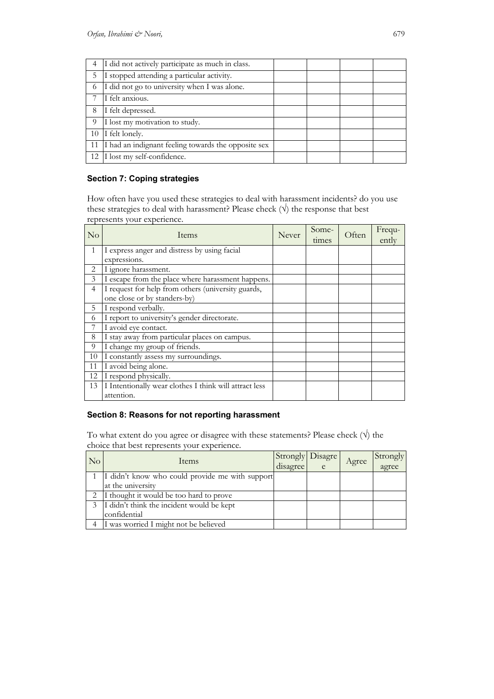| 4  | I did not actively participate as much in class.    |  |  |
|----|-----------------------------------------------------|--|--|
| 5  | I stopped attending a particular activity.          |  |  |
| 6  | I did not go to university when I was alone.        |  |  |
|    | I felt anxious.                                     |  |  |
| 8  | I felt depressed.                                   |  |  |
| 9  | I lost my motivation to study.                      |  |  |
| 10 | I felt lonely.                                      |  |  |
| 11 | I had an indignant feeling towards the opposite sex |  |  |
|    | 12 I lost my self-confidence.                       |  |  |

# **Section 7: Coping strategies**

How often have you used these strategies to deal with harassment incidents? do you use these strategies to deal with harassment? Please check  $(\forall)$  the response that best represents your experience.

| $\rm No$       | Items                                                  | Never | Some-<br>times | Often | Frequ-<br>ently |
|----------------|--------------------------------------------------------|-------|----------------|-------|-----------------|
| $\mathbf{1}$   | I express anger and distress by using facial           |       |                |       |                 |
|                | expressions.                                           |       |                |       |                 |
| 2              | I ignore harassment.                                   |       |                |       |                 |
| 3              | I escape from the place where harassment happens.      |       |                |       |                 |
| $\overline{4}$ | I request for help from others (university guards,     |       |                |       |                 |
|                | one close or by standers-by)                           |       |                |       |                 |
| 5              | I respond verbally.                                    |       |                |       |                 |
| 6              | I report to university's gender directorate.           |       |                |       |                 |
| 7              | I avoid eye contact.                                   |       |                |       |                 |
| 8              | I stay away from particular places on campus.          |       |                |       |                 |
| 9              | I change my group of friends.                          |       |                |       |                 |
| 10             | I constantly assess my surroundings.                   |       |                |       |                 |
| 11             | I avoid being alone.                                   |       |                |       |                 |
| 12             | I respond physically.                                  |       |                |       |                 |
| 13             | I Intentionally wear clothes I think will attract less |       |                |       |                 |
|                | attention.                                             |       |                |       |                 |

# **Section 8: Reasons for not reporting harassment**

To what extent do you agree or disagree with these statements? Please check  $(\forall)$  the choice that best represents your experience.

| No | Items                                           | disagree | Strongly Disagre | Agree | Strongly<br>agree |
|----|-------------------------------------------------|----------|------------------|-------|-------------------|
|    | I didn't know who could provide me with support |          |                  |       |                   |
|    | at the university                               |          |                  |       |                   |
|    | I thought it would be too hard to prove         |          |                  |       |                   |
|    | I didn't think the incident would be kept       |          |                  |       |                   |
|    | confidential                                    |          |                  |       |                   |
|    | I was worried I might not be believed           |          |                  |       |                   |